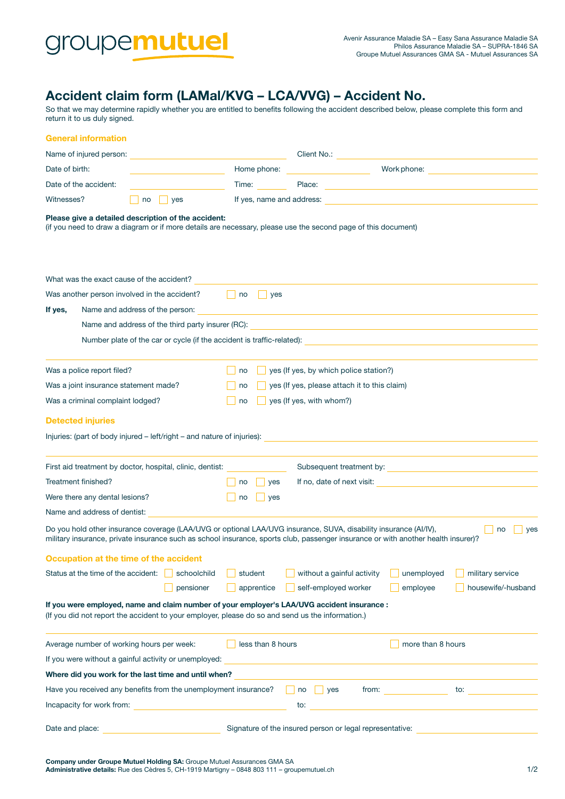

## Accident claim form (LAMal/KVG – LCA/VVG) – Accident No.

So that we may determine rapidly whether you are entitled to benefits following the accident described below, please complete this form and return it to us duly signed.

|                                            | <b>General information</b>                                                                                                                                                                                                                                                         |                                                                                                                     |                   |                                                                                                                                                                                                                                                       |                                   |                                                     |  |
|--------------------------------------------|------------------------------------------------------------------------------------------------------------------------------------------------------------------------------------------------------------------------------------------------------------------------------------|---------------------------------------------------------------------------------------------------------------------|-------------------|-------------------------------------------------------------------------------------------------------------------------------------------------------------------------------------------------------------------------------------------------------|-----------------------------------|-----------------------------------------------------|--|
|                                            | Name of injured person:                                                                                                                                                                                                                                                            | <u> 1980 - Johann Barn, mars eta bainar eta baina eta baina eta baina eta baina eta baina eta baina eta baina e</u> |                   | Client No.: <u>Client No.: Client No.: Client No.:</u>                                                                                                                                                                                                |                                   |                                                     |  |
| Date of birth:                             |                                                                                                                                                                                                                                                                                    |                                                                                                                     | Home phone:       |                                                                                                                                                                                                                                                       |                                   | Work phone: <u>____________________________</u>     |  |
|                                            | Date of the accident:                                                                                                                                                                                                                                                              |                                                                                                                     | Time:             | Place:                                                                                                                                                                                                                                                |                                   | <u> 1989 - Johann Stein, marwolaethau (b. 1989)</u> |  |
| Witnesses?<br>yes<br>no                    |                                                                                                                                                                                                                                                                                    | If yes, name and address:                                                                                           |                   |                                                                                                                                                                                                                                                       |                                   |                                                     |  |
|                                            |                                                                                                                                                                                                                                                                                    | Please give a detailed description of the accident:                                                                 |                   | (if you need to draw a diagram or if more details are necessary, please use the second page of this document)                                                                                                                                         |                                   |                                                     |  |
|                                            | What was the exact cause of the accident?                                                                                                                                                                                                                                          |                                                                                                                     |                   |                                                                                                                                                                                                                                                       |                                   |                                                     |  |
|                                            |                                                                                                                                                                                                                                                                                    | Was another person involved in the accident?                                                                        | no     yes        |                                                                                                                                                                                                                                                       |                                   |                                                     |  |
| Name and address of the person:<br>If yes, |                                                                                                                                                                                                                                                                                    |                                                                                                                     |                   | and the control of the control of the control of the control of the control of the control of the control of the                                                                                                                                      |                                   |                                                     |  |
|                                            | Name and address of the third party insurer (RC):<br>the control of the control of the control of the control of the control of the control of the control of the control of the control of the control of the control of the control of the control of the control of the control |                                                                                                                     |                   |                                                                                                                                                                                                                                                       |                                   |                                                     |  |
|                                            | Number plate of the car or cycle (if the accident is traffic-related): \\esseq \\esseq \\esseq \\esseq \\esseq \\esseq \\esseq \\esseq \\esseq \\esseq \\esseq \\esseq \\esseq \\esseq \\esseq \\esseq \\esseq \\esseq \\esseq                                                     |                                                                                                                     |                   |                                                                                                                                                                                                                                                       |                                   |                                                     |  |
|                                            | Was a police report filed?                                                                                                                                                                                                                                                         |                                                                                                                     | no                | yes (If yes, by which police station?)                                                                                                                                                                                                                |                                   |                                                     |  |
| Was a joint insurance statement made?      |                                                                                                                                                                                                                                                                                    |                                                                                                                     | no                | yes (If yes, please attach it to this claim)                                                                                                                                                                                                          |                                   |                                                     |  |
| Was a criminal complaint lodged?           |                                                                                                                                                                                                                                                                                    |                                                                                                                     | no                | yes (If yes, with whom?)                                                                                                                                                                                                                              |                                   |                                                     |  |
|                                            | <b>Detected injuries</b>                                                                                                                                                                                                                                                           |                                                                                                                     |                   |                                                                                                                                                                                                                                                       |                                   |                                                     |  |
|                                            |                                                                                                                                                                                                                                                                                    | Injuries: (part of body injured – left/right – and nature of injuries):                                             |                   |                                                                                                                                                                                                                                                       |                                   |                                                     |  |
|                                            |                                                                                                                                                                                                                                                                                    | First aid treatment by doctor, hospital, clinic, dentist:                                                           |                   |                                                                                                                                                                                                                                                       |                                   |                                                     |  |
| Treatment finished?                        |                                                                                                                                                                                                                                                                                    |                                                                                                                     | yes<br>no         | If no, date of next visit:                                                                                                                                                                                                                            |                                   |                                                     |  |
| Were there any dental lesions?             |                                                                                                                                                                                                                                                                                    |                                                                                                                     | no<br>yes         |                                                                                                                                                                                                                                                       |                                   |                                                     |  |
|                                            | Name and address of dentist:                                                                                                                                                                                                                                                       |                                                                                                                     |                   |                                                                                                                                                                                                                                                       |                                   |                                                     |  |
|                                            |                                                                                                                                                                                                                                                                                    |                                                                                                                     |                   | Do you hold other insurance coverage (LAA/UVG or optional LAA/UVG insurance, SUVA, disability insurance (AI/IV),<br>military insurance, private insurance such as school insurance, sports club, passenger insurance or with another health insurer)? |                                   | no<br>yes                                           |  |
|                                            | Occupation at the time of the accident                                                                                                                                                                                                                                             |                                                                                                                     |                   |                                                                                                                                                                                                                                                       |                                   |                                                     |  |
|                                            | Status at the time of the accident:                                                                                                                                                                                                                                                | schoolchild                                                                                                         | student           | without a gainful activity                                                                                                                                                                                                                            | unemployed                        | military service                                    |  |
|                                            |                                                                                                                                                                                                                                                                                    | pensioner                                                                                                           | apprentice        | self-employed worker                                                                                                                                                                                                                                  | employee                          | housewife/-husband                                  |  |
|                                            |                                                                                                                                                                                                                                                                                    |                                                                                                                     |                   | If you were employed, name and claim number of your employer's LAA/UVG accident insurance :<br>(If you did not report the accident to your employer, please do so and send us the information.)                                                       |                                   |                                                     |  |
| Average number of working hours per week:  |                                                                                                                                                                                                                                                                                    |                                                                                                                     | less than 8 hours |                                                                                                                                                                                                                                                       | more than 8 hours                 |                                                     |  |
|                                            |                                                                                                                                                                                                                                                                                    | If you were without a gainful activity or unemployed:                                                               |                   |                                                                                                                                                                                                                                                       |                                   |                                                     |  |
|                                            |                                                                                                                                                                                                                                                                                    | Where did you work for the last time and until when?                                                                |                   |                                                                                                                                                                                                                                                       |                                   |                                                     |  |
|                                            |                                                                                                                                                                                                                                                                                    | Have you received any benefits from the unemployment insurance? $\Box$ no                                           |                   | $ $ yes                                                                                                                                                                                                                                               | from: $\overline{\qquad \qquad }$ | to:                                                 |  |
|                                            | Incapacity for work from:                                                                                                                                                                                                                                                          |                                                                                                                     |                   | to:                                                                                                                                                                                                                                                   |                                   |                                                     |  |
| Date and place:                            |                                                                                                                                                                                                                                                                                    |                                                                                                                     |                   | Signature of the insured person or legal representative:                                                                                                                                                                                              |                                   |                                                     |  |